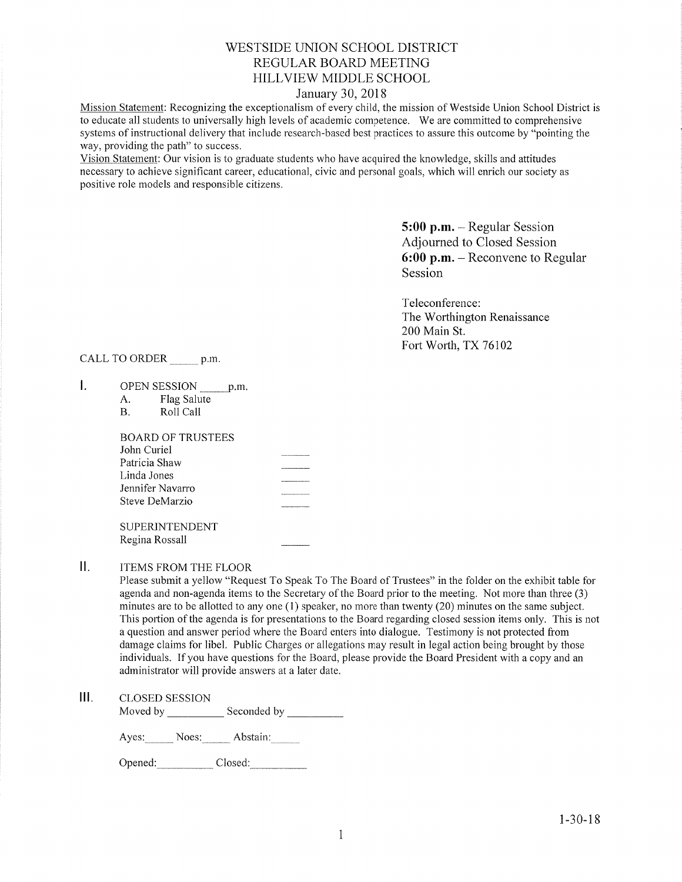# WESTSIDE UNION SCHOOL DISTRICT REGULAR BOARD MEETING HILLVIEW MIDDLE SCHOOL

## January 30,2078

Mission Statement: Recognizing the exceptionalism of every child, the mission of Westside Union School District is to educate all students to universally high levels of academic competence. We are committed to comprehensive systems of instructional delivery that include research-based best practices to assure this outcome by "pointing the way, providing the path" to success.

Vision Statement: Our vision is to graduate students who have acquired the knowledge, skills and attitudes necessary to achieve significant career, educational, civic and personal goals, which will enrich our society as positive role models and responsible citizens.

> 5:00 p.m. - Regular Session Adjourned to Closed Session 6:00 p.m. - Reconvene to Regular Session

Teleconference: The Worthington Renaissance 200 Main St. Fort Worth, TX 76102

CALL TO ORDER \_\_\_\_\_\_ p.m

- $\mathbf{L}$ OPEN SESSION p.m.
	- A. Flag Salute<br>B. Roll Call
	-

| BOARD OF TRUSTEES |  |
|-------------------|--|
| John Curiel       |  |
| Patricia Shaw     |  |
| Linda Jones       |  |
| Jennifer Navarro  |  |
| Steve DeMarzio    |  |
|                   |  |

SUPERINTENDENT Regina Rossall

 $II.$ ITEMS FROM THE FLOOR

> Please submit a yellow "Request To Speak To The Board of Trustees" in the folder on the exhibit table for agenda and non-agenda items to the Secretary of the Board prior to the meeting. Not more than three (3) minutes are to be allotted to any one  $(1)$  speaker, no more than twenty  $(20)$  minutes on the same subject. This portion of the agenda is for presentations to the Board regarding closed session items only. This is not a question and answer period where the Board enters into dialogue. Testimony is not protected from damage claims for libel. Public Charges or allegations may result in legal action being brought by those individuals. Ifyou have questions for the Board, please provide the Board President with a copy and an administrator will provide answers at a later date.

lll. cLosED sESSroN

Moved bv Seconded by

Ayes: Noes: Abstain:

Opened: Closed: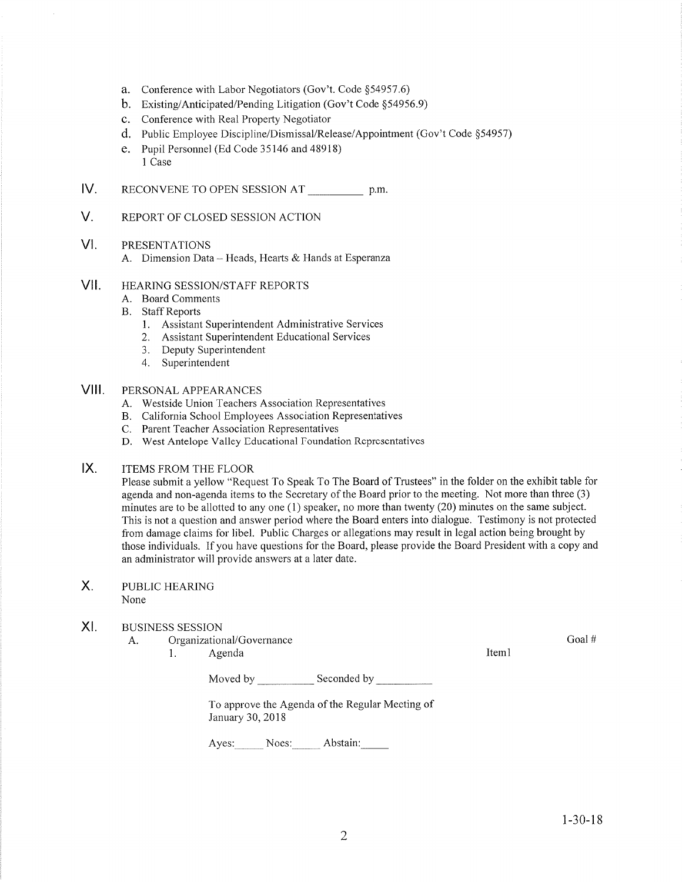- a. Conference with Labor Negotiators (Gov't. Code \$54957.6)
- b. Existing/Anticipated/Pending Litigation (Gov't Code \$54956.9)
- c. Conference with Real Property Negotiator
- d. Public Employee Discipline/Dismissal/Release/Appointment (Gov't Code \$54957)
- e. Pupil Personnel (Ed Code 35146 and 48918) I Case
- IV RECONVENE TO OPEN SESSION AT p.m.
- V. REPORT OF CLOSED SESSION ACTION

#### VI PRESENTATIONS

A. Dimension Data - Heads, Hearts & Hands at Esperanza

#### vil HEARING SESSION/STAFF REPORTS

- A. Board Comments
- B. Staff Reports
	- 1. Assistant Superintendent Administrative Services
	- 2. Assistant Superintendent Educational Services
	- 3. Deputy Superintendent
	- 4. Superintendent

#### VIII. PERSONAL APPEARANCES

- A. Westside Union Teachers Association Representatives
- B. California School Employees Association Representatives C. Parent Teacher Association Representatives
- 
- D. West Antelope Valley Educational Foundation Representatives

#### $IX.$ ITEMS FROM THE FLOOR

Please submit a yellow "Request To Speak To The Board of Trustees" in the folder on the exhibit table for' agenda and non-agenda items to the Secretary of the Board prior to the meeting. Not more than three (3) minutes are to be allotted to any one (1) speaker, no more than twenty (20) minutes on the same subject. This is not a question and answer period where the Board enters into dialogue. Testimony is not protected from damage claims for libel. Public Charges or allegations may result in legal action being brought by those individuals. lf you have questions for the Board, please provide the Board President with a copy and an administrator will provide answers at a later date.

### X PUBLIC HEARING None

#### XI BUSINESS SESSION

A. Organizational/Governance

1. Agenda 11. aastal 11. aastal 11. aastal 11. aastal 11. aastal 11. aastal 11. aastal 11. aastal 11. aastal 1

Moved by Seconded by <u>Seconded by Seconded by Seconded by Seconded by Seconded by Seconded by Seconded by Seconded by Seconded by Seconded by Seconded by Seconded by Seconded by Seconded by Seconded by Seconded by Seconded</u>

To approve the Agenda of the Regular Meeting of January 30,2018

Ayes: Noes: Abstain:

Goal#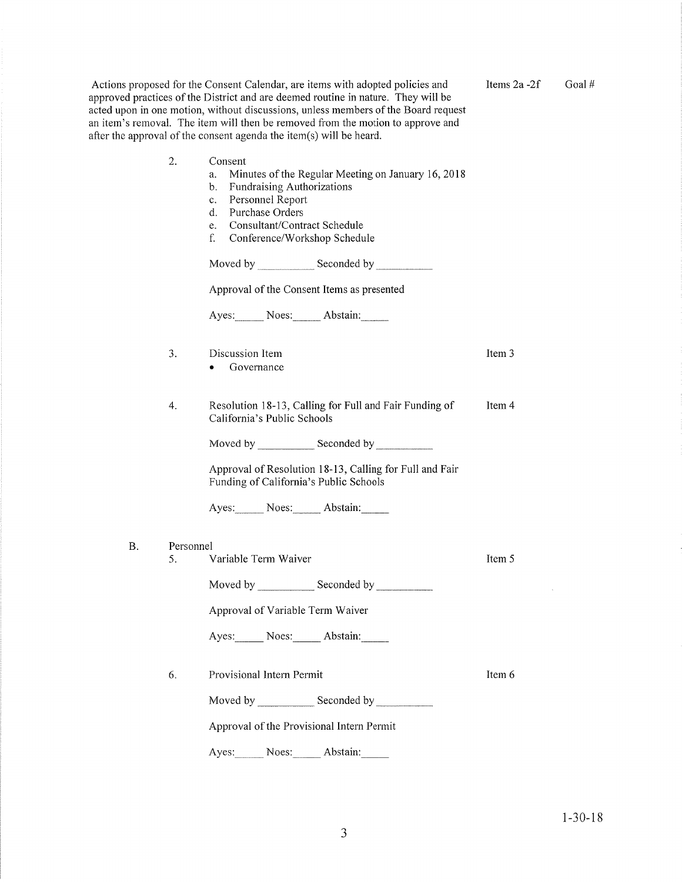|    |           | Actions proposed for the Consent Calendar, are items with adopted policies and<br>approved practices of the District and are deemed routine in nature. They will be<br>acted upon in one motion, without discussions, unless members of the Board request<br>an item's removal. The item will then be removed from the motion to approve and<br>after the approval of the consent agenda the item(s) will be heard. | Items $2a - 2f$ | Goal# |
|----|-----------|---------------------------------------------------------------------------------------------------------------------------------------------------------------------------------------------------------------------------------------------------------------------------------------------------------------------------------------------------------------------------------------------------------------------|-----------------|-------|
|    | 2.        | Consent<br>Minutes of the Regular Meeting on January 16, 2018<br>a.<br>Fundraising Authorizations<br>b.<br>Personnel Report<br>$c_{\cdot}$<br>Purchase Orders<br>d.<br>Consultant/Contract Schedule<br>e.<br>f.<br>Conference/Workshop Schedule                                                                                                                                                                     |                 |       |
|    |           |                                                                                                                                                                                                                                                                                                                                                                                                                     |                 |       |
|    |           | Approval of the Consent Items as presented                                                                                                                                                                                                                                                                                                                                                                          |                 |       |
|    |           | Ayes: Noes: Abstain:                                                                                                                                                                                                                                                                                                                                                                                                |                 |       |
|    | 3.        | Discussion Item<br>Governance                                                                                                                                                                                                                                                                                                                                                                                       | Item 3          |       |
|    | 4.        | Resolution 18-13, Calling for Full and Fair Funding of<br>California's Public Schools                                                                                                                                                                                                                                                                                                                               | Item 4          |       |
|    |           |                                                                                                                                                                                                                                                                                                                                                                                                                     |                 |       |
|    |           | Approval of Resolution 18-13, Calling for Full and Fair<br>Funding of California's Public Schools                                                                                                                                                                                                                                                                                                                   |                 |       |
|    |           | Ayes: Noes: Abstain:                                                                                                                                                                                                                                                                                                                                                                                                |                 |       |
| Β. | Personnel |                                                                                                                                                                                                                                                                                                                                                                                                                     |                 |       |
|    | 5.        | Variable Term Waiver                                                                                                                                                                                                                                                                                                                                                                                                | Item 5          |       |
|    |           | Moved by Seconded by Seconded by                                                                                                                                                                                                                                                                                                                                                                                    |                 |       |
|    |           | Approval of Variable Term Waiver                                                                                                                                                                                                                                                                                                                                                                                    |                 |       |
|    |           | Ayes: Noes: Abstain:                                                                                                                                                                                                                                                                                                                                                                                                |                 |       |
|    | 6.        | Provisional Intern Permit                                                                                                                                                                                                                                                                                                                                                                                           | Item 6          |       |
|    |           | Moved by Seconded by Seconded by                                                                                                                                                                                                                                                                                                                                                                                    |                 |       |
|    |           | Approval of the Provisional Intern Permit                                                                                                                                                                                                                                                                                                                                                                           |                 |       |
|    |           | Abstain:<br>Noes:<br>Ayes:                                                                                                                                                                                                                                                                                                                                                                                          |                 |       |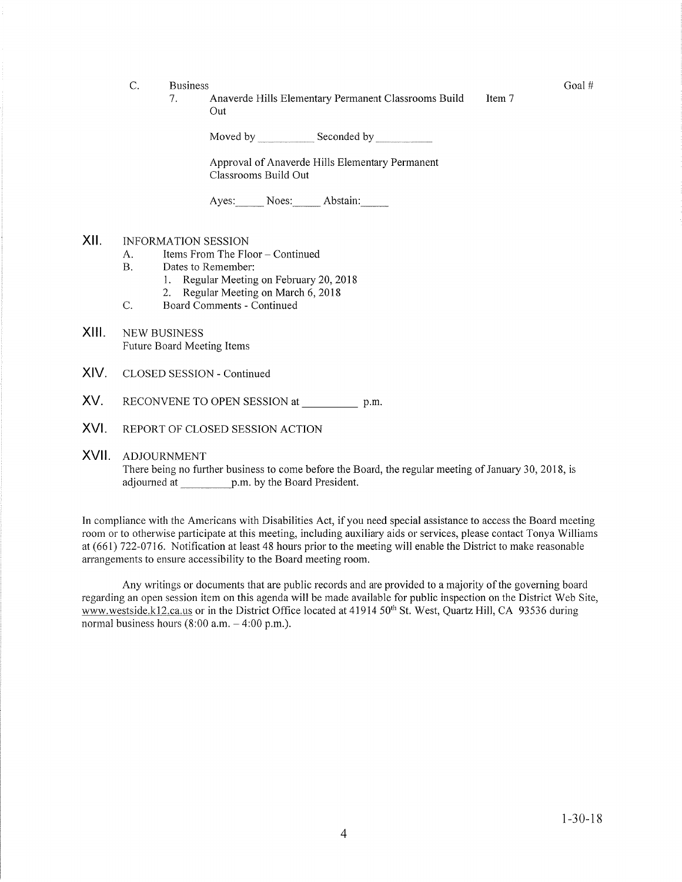- C. Business Goal #
	- <sup>1</sup> Anaverde Hills Elementary Permanent Classrooms Build Out Item 7

Moved by \_\_\_\_\_\_\_\_\_\_\_\_ Seconded by \_

Approval of Anaverde Hills Elementary Perrnanent Classrooms Build Out

Ayes: Noes: Abstain:

## xil

- INFORMATION SESSION<br>
A. Items From The Floor Continued<br>
B. Dates to Remember:
- 
- 1. Regular Meeting on February 20, 2018<br>2. Regular Meeting on March 6, 2018<br>C. Board Comments Continued
	-
- 
- XIII. NEW BUSINESS Future Board Meeting Items
- XIV. CLOSED SESSION - Continued
- XV. RECONVENE TO OPEN SESSION at p.m.
- XVI. REPORT OF CLOSED SESSION ACTION
- XVII ADJOURNMENT

There being no further business to come before the Board, the regular meeting of January 30, 2018, is adjourned at p.m by the Board President.

In compliance with the Americans with Disabilities Act, if you need special assistance to access the Board meeting room or to otherwise participate at this meeting, including auxiliary aids or services, please contact Tonya Williams at (661) 122-0716. Notification at least 48 hours prior to the meeting will enable the District to rnake reasonable arrangements to ensure accessibility to the Board meeting room.

Any writings or documents that are public records and are provided to a majority of the governing board regarding an open session item on this agenda will be made available for public inspection on the District Web Site, www.westside.k12.ca.us or in the District Office located at 41914 50<sup>th</sup> St. West, Quartz Hill, CA 93536 during normal business hours  $(8:00 a.m. - 4:00 p.m.).$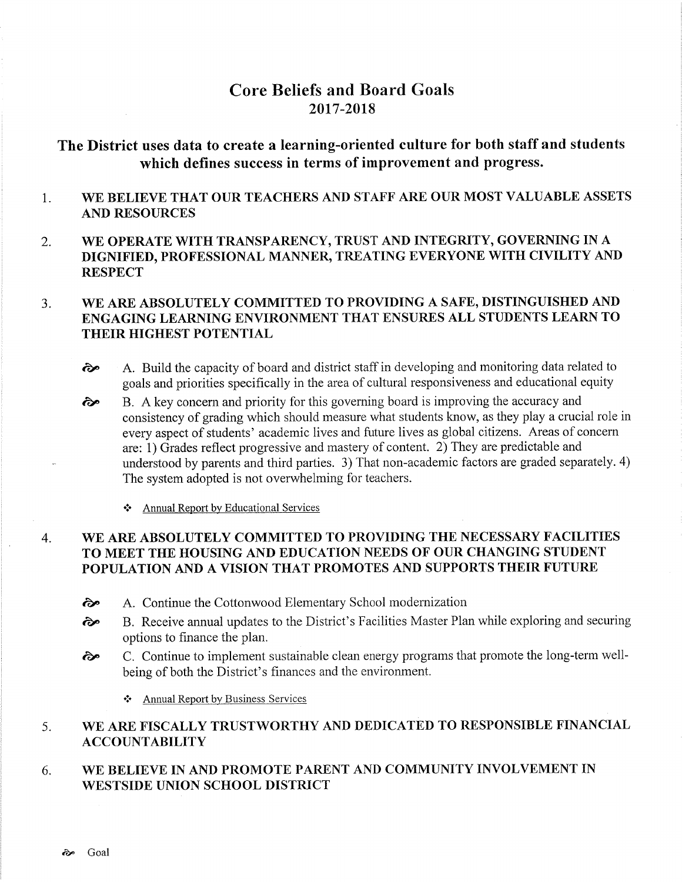# Core Beliefs and Board Goals 2017-2018

# The District uses data to create a learning-oriented culture for both staff and students which defines success in terms of improvement and progress.

### 1 WE BELIEVE THAT OUR TEACHERS AND STAFF ARE OUR MOST VALUABLE ASSETS AND RESOURCES

2. WE OPERATE WITH TRANSPARENCY, TRUST AND INTEGRITY, GOVERNING IN A DIGNIFIED, PROFESSIONAL MANNER., TREATING EVERYONE WITH CIVILITY AND **RESPECT** 

### WE ARE ABSOLUTELY COMMITTED TO PROVIDING A SAFE, DISTINGUISHED AND ENGAGING LEARNING ENVIRONMENT THAT ENSURES ALL STUDENTS LEARN TO THEIR HIGHEST POTENTIAL  $3.$

- ôp A. Build the capacity of board and district staff in developing and monitoring data related to goals and priorities specihcally in the area of cultural responsiveness and educational equity
- B. A key concern and priority for this governing board is improving the accuracy and consistency of grading which should measure what students know, as they play a crucial role in every aspect of students' academic lives and future lives as global citizens. Areas of concern are: 1) Grades reflect progressive and mastery of content. 2) They are predictable and understood by parents and third parties. 3) That non-academic factors are graded separately. 4) The system adopted is not overwhelming for teachers. èp
	- \* Annual Report by Educational Services

### \ryE ARE ABSOLUTELY COMMITTED TO PROVIDING THE NECESSARY FACILITIES TO MEET THE HOUSING AND EDUCATION NEEDS OF OUR CHANGING STUDENT POPULATION AND A VISION THAT PROMOTES AND SUPPORTS THEIR FUTURE 4

- 
- <sup>2</sup><br><sup>2</sup> A. Continue the Cottonwood Elementary School modernization<br><sup>2</sup> B. Receive annual updates to the District's Facilities Master Plan while exploring and securing options to finance the plan.
- <sup>3</sup><sup>o</sup> C. Continue to implement sustainable clean energy programs that promote the long-term wellbeing of both the District's finances and the environment.
	- Annual Report by Business Services

### WE ARE FISCALLY TRUSTWORTHY AND DEDICATED TO RESPONSIBLE FINANCIAL ACCOUNTABILITY 5

### WE BELIEVE IN AND PROMOTE PARENT AND COMMUNITY INVOLVEMENT IN WESTSIDE UNION SCHOOL DISTRICT 6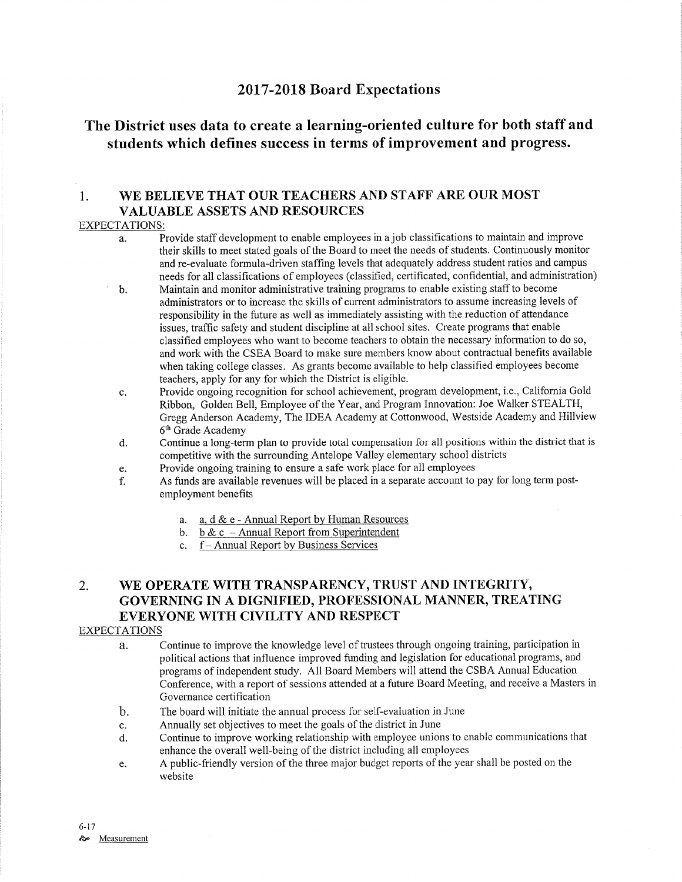# <sup>2017</sup>-2018 Board Expectations

# The District uses data to create a learning-oriented culture for both staff and students which defines success in terms of improvement and progress.

## 1. WE BELIEVE THAT OUR TEACHERS AND STAFF ARE OUR MOST VALUABLE ASSETS AND RESOURCES

### EXPECTATIONS:

- Provide staff development to enable employees in a job classifications to maintain and improve their skills to meet stated goals of the Board to meet the needs of students. Continuously monitor and re-evaluate formula-driven staffing levels that adequately address student ratios and campus needs for all classifrcations of employees (classified, certificated, confidential, and administration) a.
- Maintain and monitor administrative training programs to enable existing staff to become administrators or to increase the skills of current administrators to assume increasing levels of responsibility in the future as well as immediately assisting with the reduction of attendance issues, traffic safety and student discipline at all school sites. Create programs that enable classified employees who want to become teachers to obtain the necessary information to do so, and work with the CSEA Board to make sure members know about contractual benefits available when taking college classes. As grants become available to help classified employees become teachers, apply for any for which the District is eligible. b
- Provide ongoing recognition for school achievement, program development, i.e., Califomia Gold Ribbon, Golden Bell, Employee of the Year, and Program Innovation: Joe'Walker STEALTH, Gregg Anderson Academy, The IDEA Academy at Cottonwood, Westside Academy and Hillview 6th Grade Academy c.
- Continue a long-term plan to provide total compensation for all positions within the district that is competitive with the surrounding Antelope Valley elementary school districts d.
- Provide ongoing training to ensure a safe work place for all employees e.
- As funds are available revenues will be placed in a separate account to pay for long term postemployment benefits f.
	- a. a. d & e Annual Report by Human Resources
	- b. b & c Annual Report from Superintendent c.  $f$  Annual Report by Business Services
	-

# 2. WE OPERATE WITH TRANSPARENCY, TRUST AND INTEGRITY, GOVERNING IN A DIGNIFIED, PROFESSIONAL MANNER, TREATING EVERYONE WITH CIVILITY AND RESPECT

### EXPECTATIONS

- a. Continue to improve the knowledge level of trustees through ongoing training, participation in political actions that influence improved funding and legislation for educational programs, and programs of independent study. All Board Members will attend the CSBA Annual Education Conference, with a report of sessions attended at a future Board Meeting, and receive a Masters in Governance certification
- b. The board will initiate the annual process for self-evaluation in June
- c. Annually set objectives to meet the goals of the district in June
- d. Continue to improve working relationship with employee unions to enable communications that enhance the overall well-being of the district including all employees
- e. A public-friendly version of the three major budget reports of the year shall be posted on the website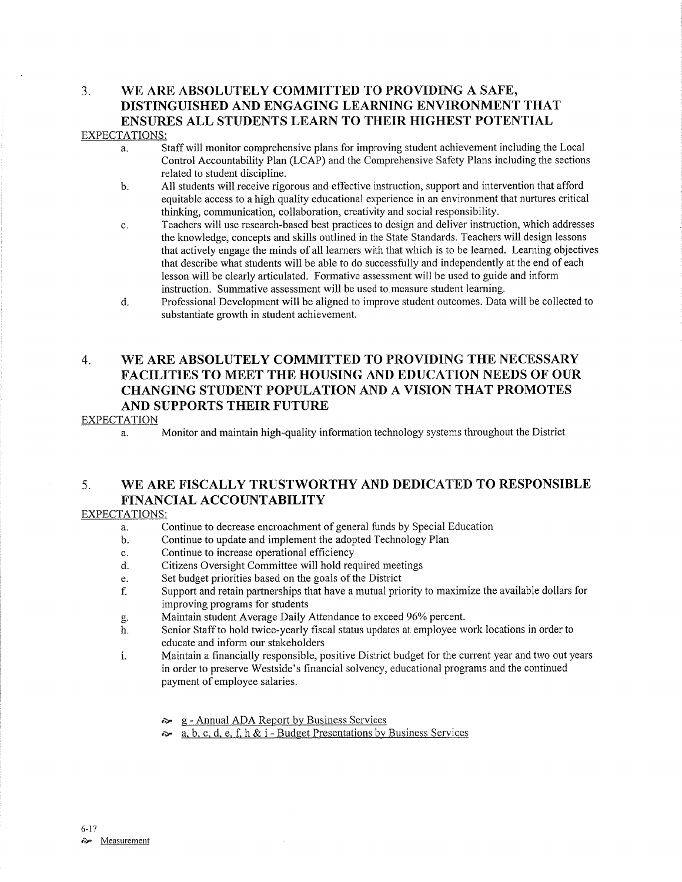## 3. WE ARE ABSOLUTELY COMMITTED TO PROVIDING A SAFE, DISTINGUISHED AND ENGAGING LEARNING ENVIRONMENT THAT ENSURES ALL STUDENTS LEARN TO THEIR HIGHEST POTENTIAL EXPECTATIONS:

- a. Staff will monitor comprehensive plans for improving student achievement inciuding the Local Control Accountability Plan (LCAP) and the Comprehensive Safety Plans including the sections related to student discipline.
- b. All students will receive rigorous and effective instruction, support and intervention that afford equitable access to a high quality educational experience in an environment that nurtures critical thinking, communication, collaboration, creativity and social responsibility.
- c. Teachers will use research-based best practices to design and deliver instruction, which addresses the knowledge, concepts and skills outlined in the State Standards. Teachers will design lessons that actively engage the minds of all learners with that which is to be learned. Leaming objectives that describe what students will be able to do successfully and independently at the end of each lesson will be clearly articulated. Formative assessment will be used to guide and inform instruction. Summative assessment will be used to measure student learning.
- d. Professional Development will be aligned to improve student outcomes. Data will be collected to substantiate growth in student achievement.

# 4. WE ARE ABSOLUTELY COMMITTED TO PROVIDING THE NECESSARY FACILITIES TO MEET THE HOUSING AND EDUCATION NEEDS OF OUR CHANGING STUDENT POPULATION AND A VISION THAT PROMOTES AND SUPPORTS THEIR FUTURE

### EXPECTATION

a. Monitor and maintain high-quality information technology systems throughout the District

# 5. WE ARE FISCALLY TRUSTWORTHY AND DEDICATED TO RESPONSIBLE FINANCIAL ACCOUNTABILITY

## EXPECTATIONS:

- a. Continue to decrease encroachment of general funds by Special Education
- b. Continue to update and implement the adopted Technology Plan
- c. Continue to increase operational efhciency
- d. Citizens Oversight Committee will hold required meetings
- e. Set budget priorities based on the goals of the District
- f. Support and retain partnerships that have a mutual priority to maximize the available dollars for improving programs for students
- 
- g. Maintain student Average Daily Attendance to exceed 960/o percent. h. Senior Staff to hold twice-yearly fìscal status updates at employee work locations in order to educate and inform our stakeholders
- i. Maintain a financially responsible, positive District budget for the current year and two out years in order to preserve Westside's financial solvency, educational programs and the continued payment of employee salaries.
	- **S** g Annual ADA Report by Business Services
	- $\lambda$ . a, b, c, d, e, f, h & i Budget Presentations by Business Services